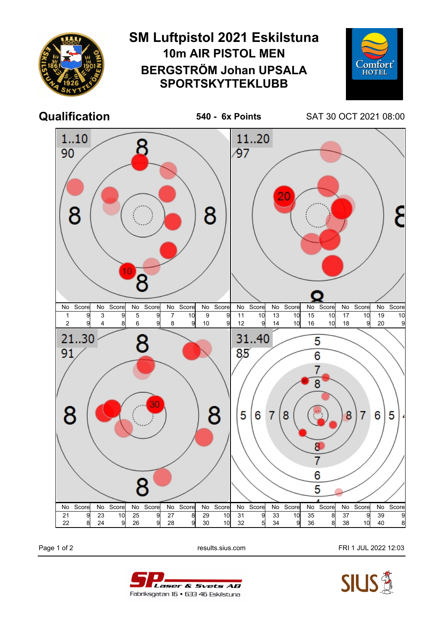

Page 1 of 2 **Page 1 of 2** results.sius.com **FRI 1 JUL 2022 12:03**